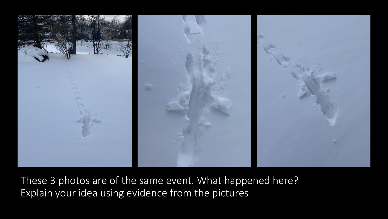

These 3 photos are of the same event. What happened here? Explain your idea using evidence from the pictures.